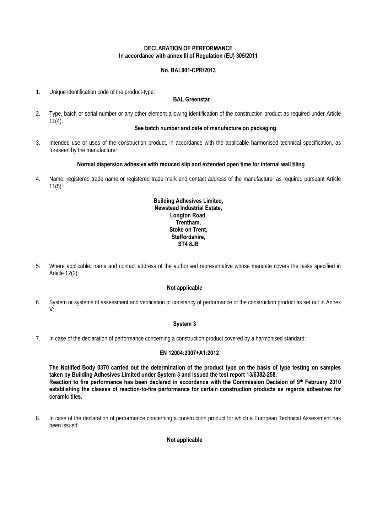### **DECLARATION OF PERFORMANCE In accordance with annex III of Regulation (EU) 305/2011**

# **No. BAL001-CPR/2013**

1. Unique identification code of the product-type:

## **BAL Greenstar**

2. Type, batch or serial number or any other element allowing identification of the construction product as required under Article  $11(4)$ :

## **See batch number and date of manufacture on packaging**

3. Intended use or uses of the construction product, in accordance with the applicable harmonised technical specification, as foreseen by the manufacturer:

#### **Normal dispersion adhesive with reduced slip and extended open time for internal wall tiling**

4. Name, registered trade name or registered trade mark and contact address of the manufacturer as required pursuant Article 11(5):

### **Building Adhesives Limited, Newstead Industrial Estate, Longton Road, Trentham, Stoke on Trent, Staffordshire, ST4 8JB**

5. Where applicable, name and contact address of the authorised representative whose mandate covers the tasks specified in Article 12(2):

#### **Not applicable**

6. System or systems of assessment and verification of constancy of performance of the construction product as set out in Annex V:

#### **System 3**

7. In case of the declaration of performance concerning a construction product covered by a harmonised standard:

#### **EN 12004:2007+A1:2012**

**The Notified Body 0370 carried out the determination of the product type on the basis of type testing on samples taken by Building Adhesives Limited under System 3 and issued the test report 13/6382-258. Reaction to fire performance has been declared in accordance with the Commission Decision of 9th February 2010 establishing the classes of reaction-to-fire performance for certain construction products as regards adhesives for ceramic tiles.** 

8. In case of the declaration of performance concerning a construction product for which a European Technical Assessment has been issued:

#### **Not applicable**